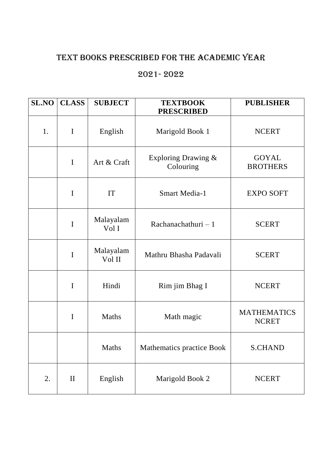## TEXT BOOKS PRESCRIBED FOR THE ACADEMIC YEAR

## 2021- 2022

| <b>SL.NO</b> | <b>CLASS</b> | <b>SUBJECT</b>      | <b>TEXTBOOK</b><br><b>PRESCRIBED</b> | <b>PUBLISHER</b>                   |
|--------------|--------------|---------------------|--------------------------------------|------------------------------------|
| 1.           | $\mathbf I$  | English             | Marigold Book 1                      | <b>NCERT</b>                       |
|              | $\mathbf I$  | Art & Craft         | Exploring Drawing &<br>Colouring     | GOYAL<br><b>BROTHERS</b>           |
|              | I            | IT                  | <b>Smart Media-1</b>                 | <b>EXPO SOFT</b>                   |
|              | $\mathbf I$  | Malayalam<br>Vol I  | Rachanachathuri $-1$                 | <b>SCERT</b>                       |
|              | $\mathbf I$  | Malayalam<br>Vol II | Mathru Bhasha Padavali               | <b>SCERT</b>                       |
|              | $\mathbf I$  | Hindi               | Rim jim Bhag I                       | <b>NCERT</b>                       |
|              | I            | <b>Maths</b>        | Math magic                           | <b>MATHEMATICS</b><br><b>NCRET</b> |
|              |              | Maths               | Mathematics practice Book            | <b>S.CHAND</b>                     |
| 2.           | $\mathbf{I}$ | English             | Marigold Book 2                      | <b>NCERT</b>                       |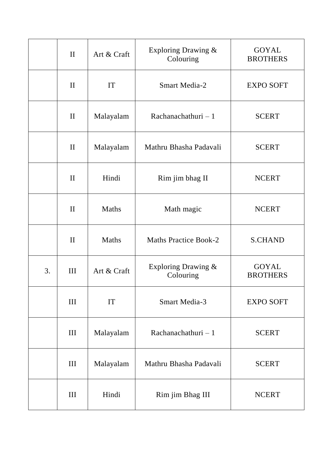|    | $\mathbf{I}$ | Art & Craft  | Exploring Drawing &<br>Colouring | <b>GOYAL</b><br><b>BROTHERS</b> |
|----|--------------|--------------|----------------------------------|---------------------------------|
|    | $\mathbf{I}$ | IT           | <b>Smart Media-2</b>             | <b>EXPO SOFT</b>                |
|    | $\mathbf{I}$ | Malayalam    | Rachanachathuri $-1$             | <b>SCERT</b>                    |
|    | $\mathbf{I}$ | Malayalam    | Mathru Bhasha Padavali           | <b>SCERT</b>                    |
|    | $\mathbf{I}$ | Hindi        | Rim jim bhag II                  | <b>NCERT</b>                    |
|    | $\mathbf{I}$ | <b>Maths</b> | Math magic                       | <b>NCERT</b>                    |
|    | $\mathbf{I}$ | Maths        | <b>Maths Practice Book-2</b>     | <b>S.CHAND</b>                  |
| 3. | III          | Art & Craft  | Exploring Drawing &<br>Colouring | <b>GOYAL</b><br><b>BROTHERS</b> |
|    | III          | IT           | <b>Smart Media-3</b>             | <b>EXPO SOFT</b>                |
|    | III          | Malayalam    | Rachanachathuri $-1$             | <b>SCERT</b>                    |
|    | III          | Malayalam    | Mathru Bhasha Padavali           | <b>SCERT</b>                    |
|    | III          | Hindi        | Rim jim Bhag III                 | <b>NCERT</b>                    |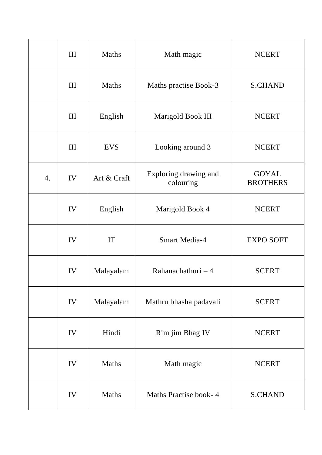|    | III | Maths       | Math magic                         | <b>NCERT</b>                    |
|----|-----|-------------|------------------------------------|---------------------------------|
|    | III | Maths       | Maths practise Book-3              | <b>S.CHAND</b>                  |
|    | III | English     | Marigold Book III                  | <b>NCERT</b>                    |
|    | III | <b>EVS</b>  | Looking around 3                   | <b>NCERT</b>                    |
| 4. | IV  | Art & Craft | Exploring drawing and<br>colouring | <b>GOYAL</b><br><b>BROTHERS</b> |
|    | IV  | English     | Marigold Book 4                    | <b>NCERT</b>                    |
|    | IV  | IT          | <b>Smart Media-4</b>               | <b>EXPO SOFT</b>                |
|    | IV  | Malayalam   | Rahanachathuri $-4$                | <b>SCERT</b>                    |
|    | IV  | Malayalam   | Mathru bhasha padavali             | <b>SCERT</b>                    |
|    | IV  | Hindi       | Rim jim Bhag IV                    | <b>NCERT</b>                    |
|    | IV  | Maths       | Math magic                         | <b>NCERT</b>                    |
|    | IV  | Maths       | Maths Practise book-4              | <b>S.CHAND</b>                  |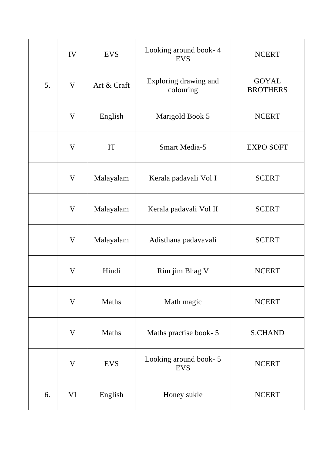|    | IV                        | <b>EVS</b>  | Looking around book-4<br><b>EVS</b> | <b>NCERT</b>                    |
|----|---------------------------|-------------|-------------------------------------|---------------------------------|
| 5. | V                         | Art & Craft | Exploring drawing and<br>colouring  | <b>GOYAL</b><br><b>BROTHERS</b> |
|    | V                         | English     | Marigold Book 5                     | <b>NCERT</b>                    |
|    | V                         | IT          | <b>Smart Media-5</b>                | <b>EXPO SOFT</b>                |
|    | V                         | Malayalam   | Kerala padavali Vol I               | <b>SCERT</b>                    |
|    | V                         | Malayalam   | Kerala padavali Vol II              | <b>SCERT</b>                    |
|    | $\boldsymbol{\mathrm{V}}$ | Malayalam   | Adisthana padavavali                | <b>SCERT</b>                    |
|    | V                         | Hindi       | Rim jim Bhag V                      | <b>NCERT</b>                    |
|    | V                         | Maths       | Math magic                          | <b>NCERT</b>                    |
|    | V                         | Maths       | Maths practise book- 5              | <b>S.CHAND</b>                  |
|    | V                         | <b>EVS</b>  | Looking around book-5<br><b>EVS</b> | <b>NCERT</b>                    |
| 6. | VI                        | English     | Honey sukle                         | <b>NCERT</b>                    |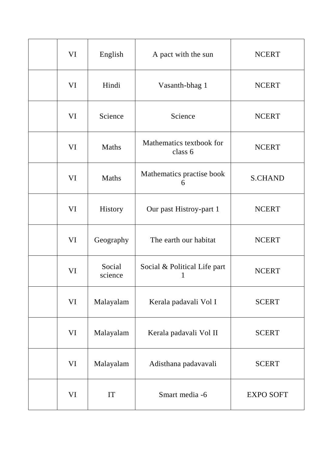| VI | English           | A pact with the sun                 | <b>NCERT</b>     |
|----|-------------------|-------------------------------------|------------------|
| VI | Hindi             | Vasanth-bhag 1                      | <b>NCERT</b>     |
| VI | Science           | Science                             | <b>NCERT</b>     |
| VI | Maths             | Mathematics textbook for<br>class 6 | <b>NCERT</b>     |
| VI | Maths             | Mathematics practise book<br>6      | <b>S.CHAND</b>   |
| VI | History           | Our past Histroy-part 1             | <b>NCERT</b>     |
| VI | Geography         | The earth our habitat               | <b>NCERT</b>     |
| VI | Social<br>science | Social & Political Life part        | <b>NCERT</b>     |
| VI | Malayalam         | Kerala padavali Vol I               | <b>SCERT</b>     |
| VI | Malayalam         | Kerala padavali Vol II              | <b>SCERT</b>     |
| VI | Malayalam         | Adisthana padavavali                | <b>SCERT</b>     |
| VI | IT                | Smart media -6                      | <b>EXPO SOFT</b> |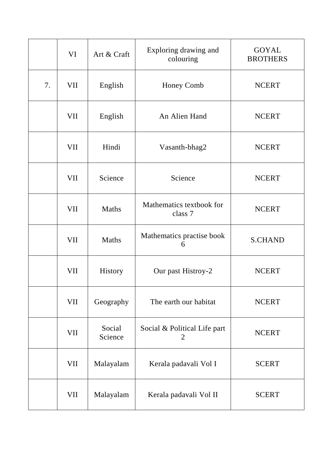|    | VI         | Art & Craft       | Exploring drawing and<br>colouring             | <b>GOYAL</b><br><b>BROTHERS</b> |
|----|------------|-------------------|------------------------------------------------|---------------------------------|
| 7. | <b>VII</b> | English           | <b>Honey Comb</b>                              | <b>NCERT</b>                    |
|    | VII        | English           | An Alien Hand                                  | <b>NCERT</b>                    |
|    | VII        | Hindi             | Vasanth-bhag2                                  | <b>NCERT</b>                    |
|    | VII        | Science           | Science                                        | <b>NCERT</b>                    |
|    | VII        | Maths             | Mathematics textbook for<br>class 7            | <b>NCERT</b>                    |
|    | VII        | Maths             | Mathematics practise book<br>6                 | <b>S.CHAND</b>                  |
|    | VII        | <b>History</b>    | Our past Histroy-2                             | <b>NCERT</b>                    |
|    | VII        | Geography         | The earth our habitat                          | <b>NCERT</b>                    |
|    | <b>VII</b> | Social<br>Science | Social & Political Life part<br>$\overline{2}$ | <b>NCERT</b>                    |
|    | VII        | Malayalam         | Kerala padavali Vol I                          | <b>SCERT</b>                    |
|    | VII        | Malayalam         | Kerala padavali Vol II                         | <b>SCERT</b>                    |